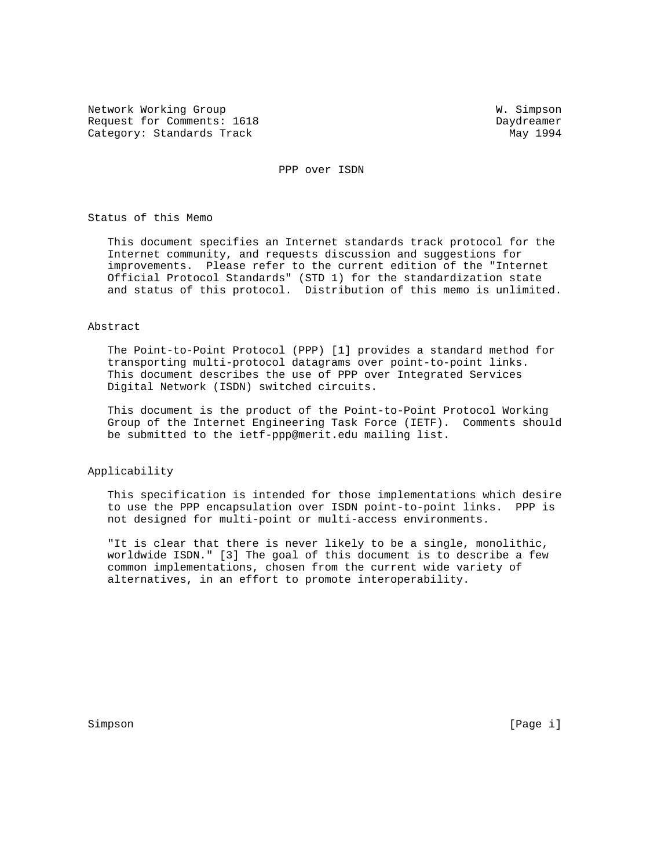Network Working Group W. Simpson Request for Comments: 1618 Daydreamer Category: Standards Track May 1994

PPP over ISDN

Status of this Memo

 This document specifies an Internet standards track protocol for the Internet community, and requests discussion and suggestions for improvements. Please refer to the current edition of the "Internet Official Protocol Standards" (STD 1) for the standardization state and status of this protocol. Distribution of this memo is unlimited.

### Abstract

 The Point-to-Point Protocol (PPP) [1] provides a standard method for transporting multi-protocol datagrams over point-to-point links. This document describes the use of PPP over Integrated Services Digital Network (ISDN) switched circuits.

 This document is the product of the Point-to-Point Protocol Working Group of the Internet Engineering Task Force (IETF). Comments should be submitted to the ietf-ppp@merit.edu mailing list.

Applicability

 This specification is intended for those implementations which desire to use the PPP encapsulation over ISDN point-to-point links. PPP is not designed for multi-point or multi-access environments.

 "It is clear that there is never likely to be a single, monolithic, worldwide ISDN." [3] The goal of this document is to describe a few common implementations, chosen from the current wide variety of alternatives, in an effort to promote interoperability.

Simpson [Page i] [Page i] [Page i] [Page i] [Page i] [Page i] [Page i] [Page i] [Page i] [Page i] [Page i] [Page i] [Page i] [Page i] [Page i] [Page i] [Page i] [Page i] [Page i] [Page i] [Page i] [Page i] [Page i] [Page i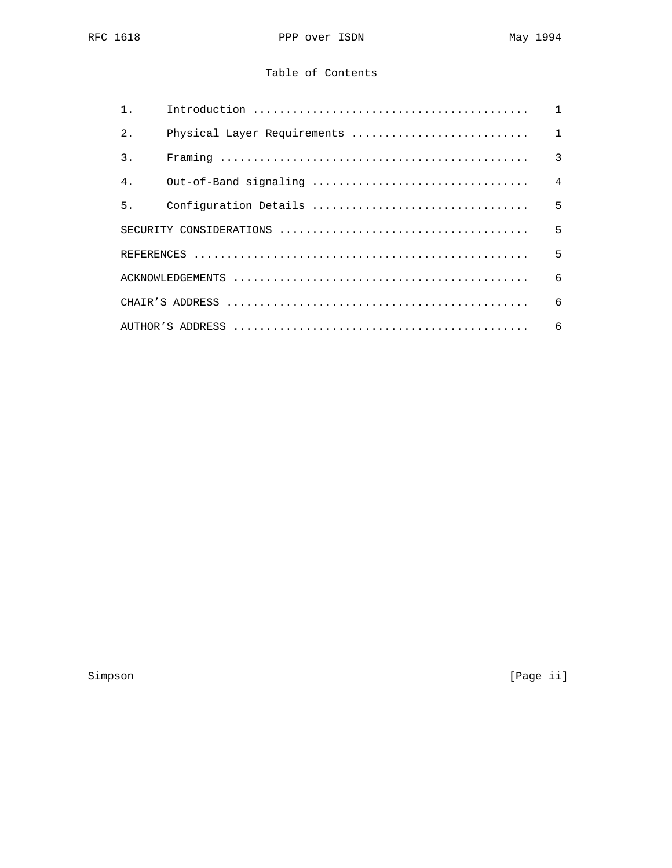# Table of Contents

| $1$ .            |                             |                |
|------------------|-----------------------------|----------------|
| 2.               | Physical Layer Requirements | $\overline{1}$ |
| $\overline{3}$ . |                             | $\overline{3}$ |
| 4 <sub>1</sub>   |                             | $\overline{4}$ |
| 5.               |                             |                |
|                  |                             |                |
|                  |                             | 5              |
|                  |                             |                |
|                  |                             |                |
|                  |                             |                |

Simpson [Page ii]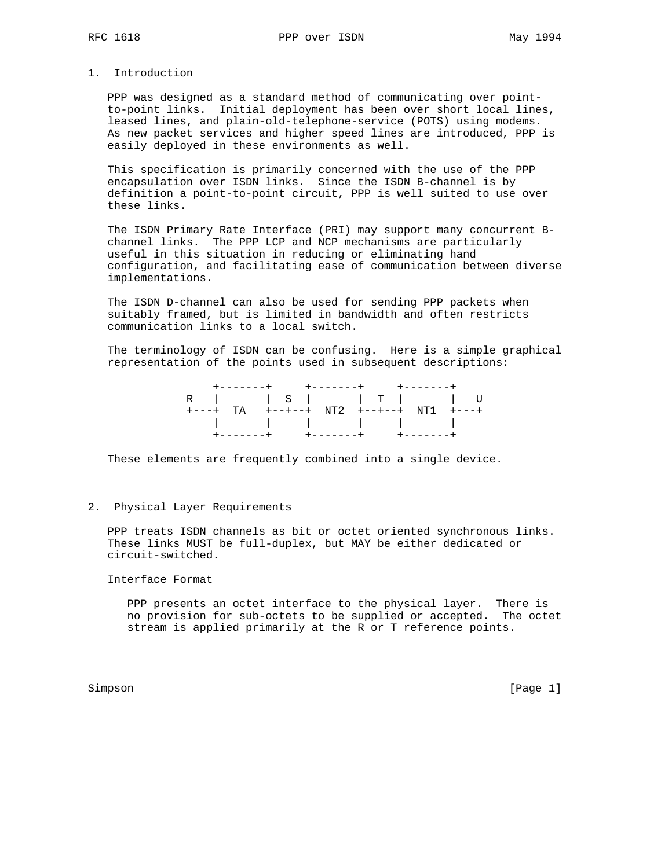# 1. Introduction

 PPP was designed as a standard method of communicating over point to-point links. Initial deployment has been over short local lines, leased lines, and plain-old-telephone-service (POTS) using modems. As new packet services and higher speed lines are introduced, PPP is easily deployed in these environments as well.

 This specification is primarily concerned with the use of the PPP encapsulation over ISDN links. Since the ISDN B-channel is by definition a point-to-point circuit, PPP is well suited to use over these links.

 The ISDN Primary Rate Interface (PRI) may support many concurrent B channel links. The PPP LCP and NCP mechanisms are particularly useful in this situation in reducing or eliminating hand configuration, and facilitating ease of communication between diverse implementations.

 The ISDN D-channel can also be used for sending PPP packets when suitably framed, but is limited in bandwidth and often restricts communication links to a local switch.

 The terminology of ISDN can be confusing. Here is a simple graphical representation of the points used in subsequent descriptions:

| R $ S $ $ T $ $ U $                    |  |  |  |
|----------------------------------------|--|--|--|
| +---+ TA +--+--+ NT2 +--+--+ NT1 +---+ |  |  |  |
|                                        |  |  |  |
|                                        |  |  |  |

These elements are frequently combined into a single device.

# 2. Physical Layer Requirements

 PPP treats ISDN channels as bit or octet oriented synchronous links. These links MUST be full-duplex, but MAY be either dedicated or circuit-switched.

Interface Format

 PPP presents an octet interface to the physical layer. There is no provision for sub-octets to be supplied or accepted. The octet stream is applied primarily at the R or T reference points.

Simpson [Page 1] [Page 1] [Page 1] [Page 1] [Page 1] [Page 1] [Page 1] [Page 1] [Page 1] [Page 1] [Page 1] [Page 1] [Page 1] [Page 1] [Page 1] [Page 1] [Page 1] [Page 1] [Page 1] [Page 1] [Page 1] [Page 1] [Page 1] [Page 1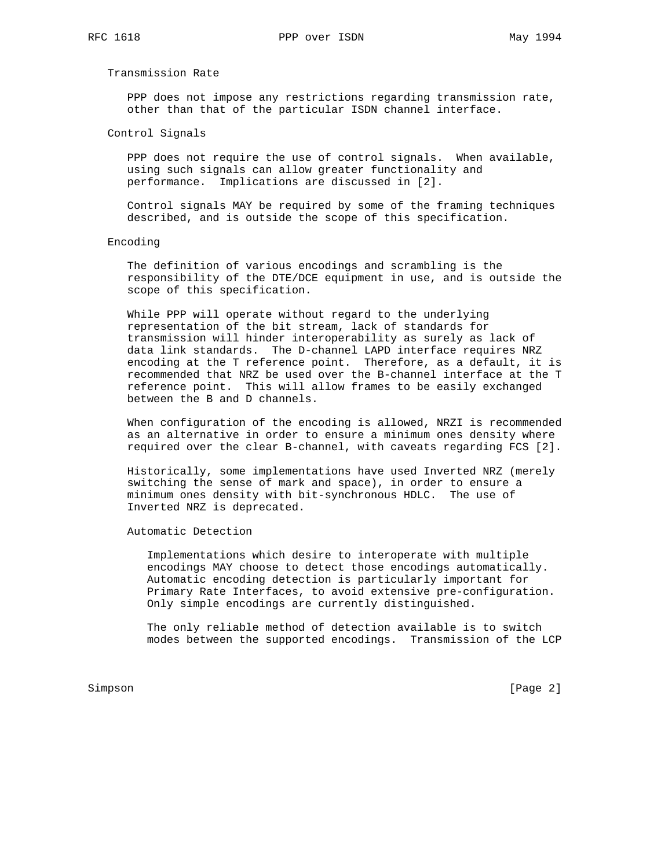Transmission Rate

 PPP does not impose any restrictions regarding transmission rate, other than that of the particular ISDN channel interface.

Control Signals

 PPP does not require the use of control signals. When available, using such signals can allow greater functionality and performance. Implications are discussed in [2].

 Control signals MAY be required by some of the framing techniques described, and is outside the scope of this specification.

### Encoding

 The definition of various encodings and scrambling is the responsibility of the DTE/DCE equipment in use, and is outside the scope of this specification.

 While PPP will operate without regard to the underlying representation of the bit stream, lack of standards for transmission will hinder interoperability as surely as lack of data link standards. The D-channel LAPD interface requires NRZ encoding at the T reference point. Therefore, as a default, it is recommended that NRZ be used over the B-channel interface at the T reference point. This will allow frames to be easily exchanged between the B and D channels.

 When configuration of the encoding is allowed, NRZI is recommended as an alternative in order to ensure a minimum ones density where required over the clear B-channel, with caveats regarding FCS [2].

 Historically, some implementations have used Inverted NRZ (merely switching the sense of mark and space), in order to ensure a minimum ones density with bit-synchronous HDLC. The use of Inverted NRZ is deprecated.

Automatic Detection

 Implementations which desire to interoperate with multiple encodings MAY choose to detect those encodings automatically. Automatic encoding detection is particularly important for Primary Rate Interfaces, to avoid extensive pre-configuration. Only simple encodings are currently distinguished.

 The only reliable method of detection available is to switch modes between the supported encodings. Transmission of the LCP

Simpson [Page 2]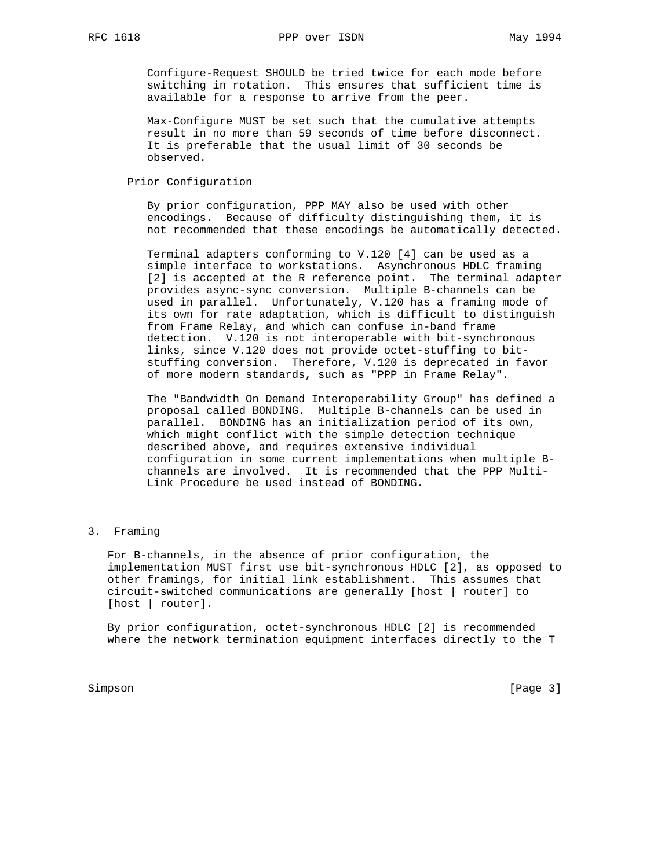Configure-Request SHOULD be tried twice for each mode before switching in rotation. This ensures that sufficient time is available for a response to arrive from the peer.

 Max-Configure MUST be set such that the cumulative attempts result in no more than 59 seconds of time before disconnect. It is preferable that the usual limit of 30 seconds be observed.

Prior Configuration

 By prior configuration, PPP MAY also be used with other encodings. Because of difficulty distinguishing them, it is not recommended that these encodings be automatically detected.

 Terminal adapters conforming to V.120 [4] can be used as a simple interface to workstations. Asynchronous HDLC framing [2] is accepted at the R reference point. The terminal adapter provides async-sync conversion. Multiple B-channels can be used in parallel. Unfortunately, V.120 has a framing mode of its own for rate adaptation, which is difficult to distinguish from Frame Relay, and which can confuse in-band frame detection. V.120 is not interoperable with bit-synchronous links, since V.120 does not provide octet-stuffing to bit stuffing conversion. Therefore, V.120 is deprecated in favor of more modern standards, such as "PPP in Frame Relay".

 The "Bandwidth On Demand Interoperability Group" has defined a proposal called BONDING. Multiple B-channels can be used in parallel. BONDING has an initialization period of its own, which might conflict with the simple detection technique described above, and requires extensive individual configuration in some current implementations when multiple B channels are involved. It is recommended that the PPP Multi- Link Procedure be used instead of BONDING.

3. Framing

 For B-channels, in the absence of prior configuration, the implementation MUST first use bit-synchronous HDLC [2], as opposed to other framings, for initial link establishment. This assumes that circuit-switched communications are generally [host | router] to [host | router].

 By prior configuration, octet-synchronous HDLC [2] is recommended where the network termination equipment interfaces directly to the T

Simpson [Page 3]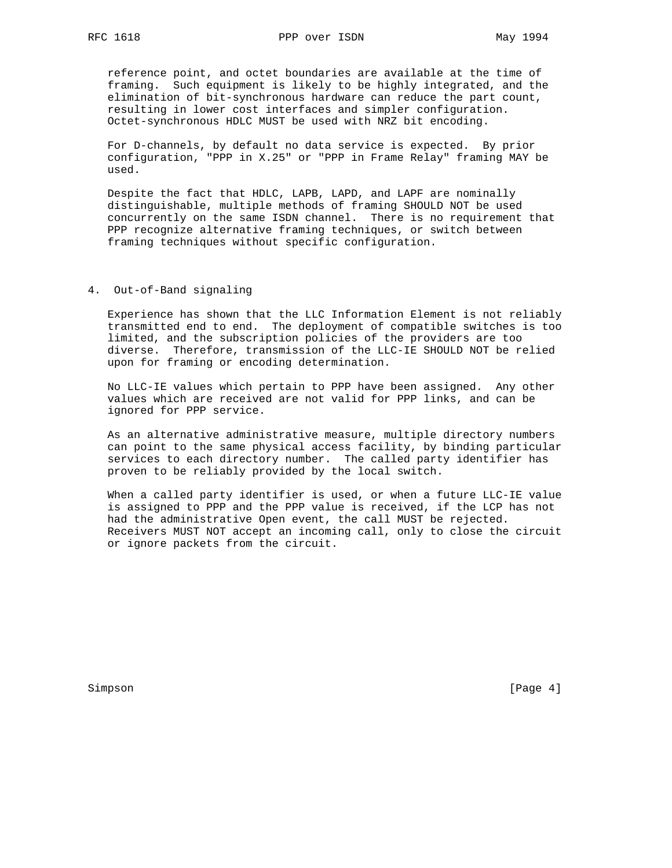reference point, and octet boundaries are available at the time of framing. Such equipment is likely to be highly integrated, and the elimination of bit-synchronous hardware can reduce the part count, resulting in lower cost interfaces and simpler configuration. Octet-synchronous HDLC MUST be used with NRZ bit encoding.

 For D-channels, by default no data service is expected. By prior configuration, "PPP in X.25" or "PPP in Frame Relay" framing MAY be used.

 Despite the fact that HDLC, LAPB, LAPD, and LAPF are nominally distinguishable, multiple methods of framing SHOULD NOT be used concurrently on the same ISDN channel. There is no requirement that PPP recognize alternative framing techniques, or switch between framing techniques without specific configuration.

# 4. Out-of-Band signaling

 Experience has shown that the LLC Information Element is not reliably transmitted end to end. The deployment of compatible switches is too limited, and the subscription policies of the providers are too diverse. Therefore, transmission of the LLC-IE SHOULD NOT be relied upon for framing or encoding determination.

 No LLC-IE values which pertain to PPP have been assigned. Any other values which are received are not valid for PPP links, and can be ignored for PPP service.

 As an alternative administrative measure, multiple directory numbers can point to the same physical access facility, by binding particular services to each directory number. The called party identifier has proven to be reliably provided by the local switch.

 When a called party identifier is used, or when a future LLC-IE value is assigned to PPP and the PPP value is received, if the LCP has not had the administrative Open event, the call MUST be rejected. Receivers MUST NOT accept an incoming call, only to close the circuit or ignore packets from the circuit.

Simpson [Page 4] [Page 4] [Page 4] [Page 4] [Page 4] [Page 4] [Page 4] [Page 4] [Page 4] [Page 4] [Page 4] [Page 4] [Page 4] [Page 4] [Page 4] [Page 4] [Page 4] [Page 4] [Page 4] [Page 4] [Page 4] [Page 4] [Page 4] [Page 4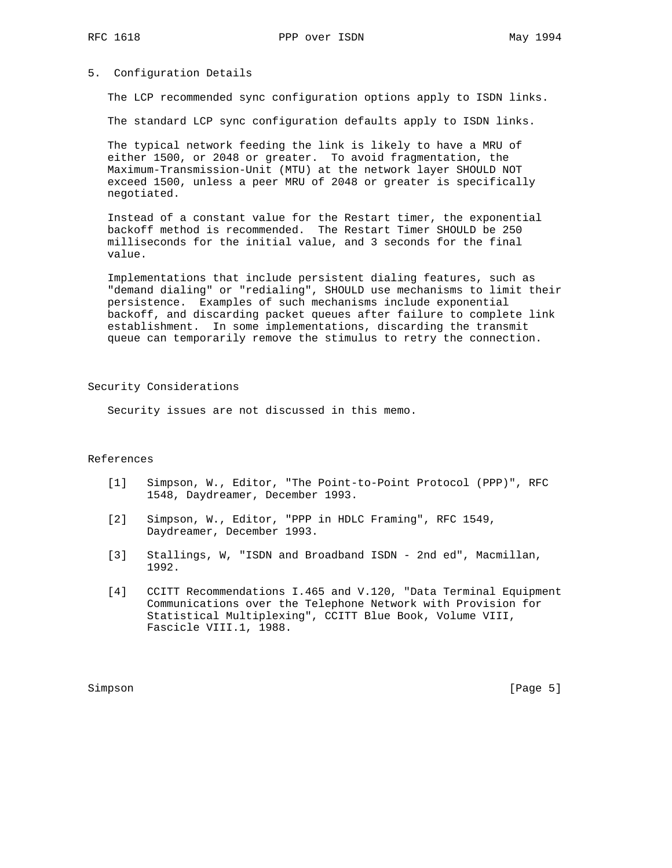# 5. Configuration Details

The LCP recommended sync configuration options apply to ISDN links.

The standard LCP sync configuration defaults apply to ISDN links.

 The typical network feeding the link is likely to have a MRU of either 1500, or 2048 or greater. To avoid fragmentation, the Maximum-Transmission-Unit (MTU) at the network layer SHOULD NOT exceed 1500, unless a peer MRU of 2048 or greater is specifically negotiated.

 Instead of a constant value for the Restart timer, the exponential backoff method is recommended. The Restart Timer SHOULD be 250 milliseconds for the initial value, and 3 seconds for the final value.

 Implementations that include persistent dialing features, such as "demand dialing" or "redialing", SHOULD use mechanisms to limit their persistence. Examples of such mechanisms include exponential backoff, and discarding packet queues after failure to complete link establishment. In some implementations, discarding the transmit queue can temporarily remove the stimulus to retry the connection.

Security Considerations

Security issues are not discussed in this memo.

#### References

- [1] Simpson, W., Editor, "The Point-to-Point Protocol (PPP)", RFC 1548, Daydreamer, December 1993.
- [2] Simpson, W., Editor, "PPP in HDLC Framing", RFC 1549, Daydreamer, December 1993.
- [3] Stallings, W, "ISDN and Broadband ISDN 2nd ed", Macmillan, 1992.
- [4] CCITT Recommendations I.465 and V.120, "Data Terminal Equipment Communications over the Telephone Network with Provision for Statistical Multiplexing", CCITT Blue Book, Volume VIII, Fascicle VIII.1, 1988.

Simpson [Page 5]